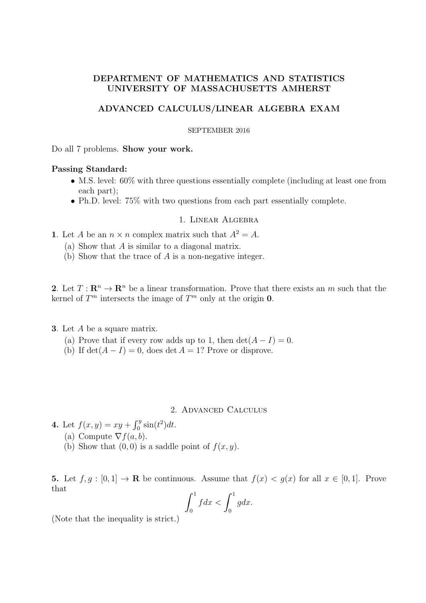# DEPARTMENT OF MATHEMATICS AND STATISTICS UNIVERSITY OF MASSACHUSETTS AMHERST

## ADVANCED CALCULUS/LINEAR ALGEBRA EXAM

#### SEPTEMBER 2016

Do all 7 problems. Show your work.

## Passing Standard:

- M.S. level: 60% with three questions essentially complete (including at least one from each part);
- Ph.D. level: 75% with two questions from each part essentially complete.

### 1. Linear Algebra

- 1. Let A be an  $n \times n$  complex matrix such that  $A^2 = A$ .
	- (a) Show that A is similar to a diagonal matrix.
	- (b) Show that the trace of A is a non-negative integer.

2. Let  $T: \mathbb{R}^n \to \mathbb{R}^n$  be a linear transformation. Prove that there exists an m such that the kernel of  $T^m$  intersects the image of  $T^m$  only at the origin 0.

#### 3. Let A be a square matrix.

- (a) Prove that if every row adds up to 1, then  $\det(A-I)=0$ .
- (b) If  $\det(A I) = 0$ , does  $\det A = 1$ ? Prove or disprove.

### 2. Advanced Calculus

4. Let  $f(x, y) = xy + \int_0^y \sin(t^2) dt$ . (a) Compute  $\nabla f(a, b)$ . (b) Show that  $(0, 0)$  is a saddle point of  $f(x, y)$ .

5. Let  $f, g : [0, 1] \to \mathbf{R}$  be continuous. Assume that  $f(x) < g(x)$  for all  $x \in [0, 1]$ . Prove that

$$
\int_0^1 f dx < \int_0^1 g dx.
$$

(Note that the inequality is strict.)